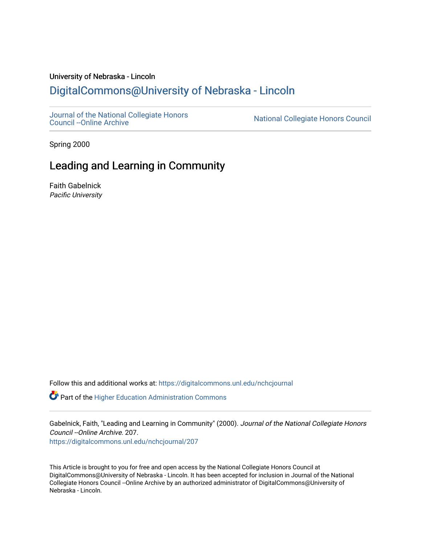# University of Nebraska - Lincoln [DigitalCommons@University of Nebraska - Lincoln](https://digitalcommons.unl.edu/)

[Journal of the National Collegiate Honors](https://digitalcommons.unl.edu/nchcjournal) 

National Collegiate Honors Council

Spring 2000

# Leading and Learning in Community

Faith Gabelnick Pacific University

Follow this and additional works at: [https://digitalcommons.unl.edu/nchcjournal](https://digitalcommons.unl.edu/nchcjournal?utm_source=digitalcommons.unl.edu%2Fnchcjournal%2F207&utm_medium=PDF&utm_campaign=PDFCoverPages) 

**C** Part of the Higher Education Administration Commons

Gabelnick, Faith, "Leading and Learning in Community" (2000). Journal of the National Collegiate Honors Council --Online Archive. 207.

[https://digitalcommons.unl.edu/nchcjournal/207](https://digitalcommons.unl.edu/nchcjournal/207?utm_source=digitalcommons.unl.edu%2Fnchcjournal%2F207&utm_medium=PDF&utm_campaign=PDFCoverPages) 

This Article is brought to you for free and open access by the National Collegiate Honors Council at DigitalCommons@University of Nebraska - Lincoln. It has been accepted for inclusion in Journal of the National Collegiate Honors Council --Online Archive by an authorized administrator of DigitalCommons@University of Nebraska - Lincoln.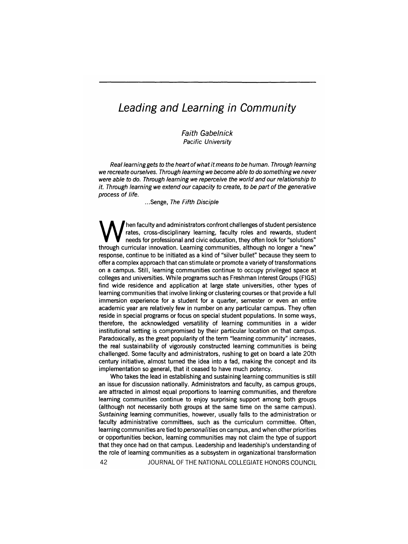# **Leading and Learning in Community**

Faith Gabelnick Pacific University

Real learning gets to the heart of what it means to be human. Through learning we recreate ourselves. Through learning we become able to do something we never were able to do. Through learning we reperceive the world and our relationship to it. Through learning we extend our capacity to create, to be part of the generative process of life.

... Senge, The Fifth Disciple

When faculty and administrators confront challenges of student persistence<br>rates, cross-disciplinary learning, faculty roles and rewards, student<br>through curricular innovation, Learning communities, although no longer a "n rates, cross-disciplinary learning, faculty roles and rewards, student needs for professional and civic education, they often look for "solutions" through curricular innovation. Learning communities, although no longer a "new" response, continue to be initiated as a kind of "silver bullet" because they seem to offer a complex approach that can stimulate or promote a variety of transformations on a campus. Still, learning communities continue to occupy privileged space at colleges and universities. While programs such as Freshman Interest Groups (FIGS) find wide residence and application at large state universities, other types of learning communities that involve linking or clustering courses or that provide a full immersion experience for a student for a quarter, semester or even an entire academic year are relatively few in number on any particular campus. They often reside in special programs or focus on special student populations. In some ways, therefore, the acknowledged versatility of learning communities in a wider institutional setting is compromised by their particular location on that campus. Paradoxically, as the great popularity of the term "learning community" increases, the real sustainability of vigorously constructed learning communities is being challenged. Some faculty and administrators, rushing to get on board a late 20th century initiative, almost turned the idea into a fad, making the concept and its implementation so general, that it ceased to have much potency.

Who takes the lead in establishing and sustaining learning communities is still an issue for discussion nationally. Administrators and faculty, as campus groups, are attracted in almost equal proportions to learning communities, and therefore learning communities continue to enjoy surprising support among both groups (although not necessarily both groups at the same time on the same campus). Sustaining learning communities, however, usually falls to the administration or faculty administrative committees, such as the curriculum committee. Often, learning communities are tied to *personalities* on campus, and when other priorities or opportunities beckon, learning communities may not claim the type of support that they once had on that campus. Leadership and leadership's understanding of the role of learning communities as a subsystem in organizational transformation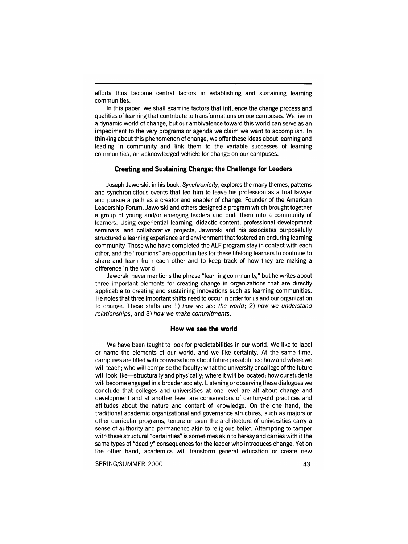efforts thus become central factors in establishing and sustaining learning communities.

In this paper, we shall examine factors that influence the change process and qualities of learning that contribute to transformations on our campuses. We live in a dynamic world of change, but our ambivalence toward this world can serve as an impediment to the very programs or agenda we claim we want to accomplish. In thinking about this phenomenon of change, we offer these ideas about learning and leading in community and link them to the variable successes of learning communities, an acknowledged vehicle for change on our campuses.

## **Creating and Sustaining Change: the Challenge for Leaders**

Joseph Jaworski, inhis book, Synchronicity, explores the many themes, patterns and synchronicitous events that led him to leave his profession as a trial lawyer and pursue a path as a creator and enabler of change. Founder of the American Leadership Forum, Jaworski and others designed a program which brought together a group of young and/or emerging leaders and built them into a community of learners. Using experiential learning, didactic content, professional development seminars, and collaborative projects, Jaworski and his associates purposefully structured a learning experience and environment that fostered an enduring learning community. Those who have completed the ALF program stay in contact with each other, and the "reunions" are opportunities for these lifelong learners to continue to share and learn from each other and to keep track of how they are making a difference in the world.

Jaworski never mentions the phrase "learning community," but he writes about three important elements for creating change in organizations that are directly applicable to creating and sustaining innovations such as learning communities. He notes that three important shifts need to occur in order for us and our organization to change. These shifts are 1) how we see the world; 2) how we understand relationships, and 3) how we make commitments.

#### **How we see the world**

We have been taught to look for predictabilities in our world. We like to label or name the elements of our world, and we like certainty. At the same time, campuses are filled with conversations about future possibilities: how and where we will teach; who will comprise the faculty; what the university or college of the future will look like—structurally and physically; where it will be located; how our students will become engaged in a broader society. Listening or observing these dialogues we conclude that colleges and universities at one level are all about change and development and at another level are conservators of century-old practices and attitudes about the nature and content of knowledge. On the one hand, the traditional academic organizational and governance structures, such as majors or other curricular programs, tenure or even the architecture of universities carry a sense of authority and permanence akin to religious belief. Attempting to tamper with these structural "certainties" is sometimes akin to heresy and carries with it the same types of "deadly" consequences for the leader who introduces change. Yet on the other hand, academics will transform general education or create new

SPRING/SUMMER 2000 43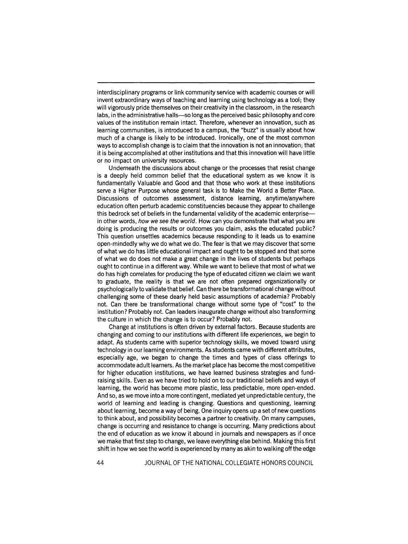interdisciplinary programs or link community service with academic courses or will invent extraordinary ways of teaching and learning using technology as a tool; they will vigorously pride themselves on their creativity in the classroom, in the research labs, in the administrative halls-so long as the perceived basic philosophy and core values of the institution remain intact. Therefore, whenever an innovation, such as learning communities, is introduced to a campus, the "buzz" is usually about how much of a change is likely to be introduced. Ironically, one of the most common ways to accomplish change is to claim that the innovation is not an innovation; that it is being accomplished at other institutions and that this innovation will have little or no impact on university resources.

Underneath the discussions about change or the processes that resist change is a deeply held common belief that the educational system as we know it is fundamentally Valuable and Good and that those who work at these institutions serve a Higher Purpose whose general task is to Make the World a Better Place. Discussions of outcomes assessment, distance learning, anytime/anywhere education often perturb academic constituencies because they appear to challenge this bedrock set of beliefs in the fundamental validity of the academic enterprisein other words, how we see the world. How can you demonstrate that what you are doing is producing the results or outcomes you claim, asks the educated public? This question unsettles academics because responding to it leads us to examine open-mindedly why we do what we do. The fear is that we may discover that some of what we do has little educational impact and ought to be stopped and that some of what we do does not make a great change in the lives of students but perhaps ought to continue in a different way. While we want to believe that most of what we do has high correlates for producing the type of educated citizen we claim we want to graduate, the reality is that we are not often prepared organizationally or psychologically to validate that belief. Can there be transformational change without challenging some of these dearly held basic assumptions of academia? Probably not. Can there be transformational change without some type of "cost" to the institution? Probably not. Can leaders inaugurate change without also transforming the culture in which the change is to occur? Probably not.

Change at institutions is often driven by external factors. Because students are changing and coming to our institutions with different life experiences, we begin to adapt. As students came with superior technology skills, we moved toward using technology in our learning environments. As students came with different attributes, especially age, we began to change the times and types of class offerings to accommodate adult learners. As the market place has become the most competitive for higher education institutions, we have learned business strategies and fundraising skills. Even as we have tried to hold on to our traditional beliefs and ways of learning, the world has become more plastic, less predictable, more open-ended. And so, as we move into a more contingent, mediated yet unpredictable century, the world of learning and leading is changing. Questions and questioning, learning about learning, become a way of being. One inquiry opens up a set of new questions to think about, and possibility becomes a partner to creativity. On many campuses, change is occurring and resistance to change is occurring. Many predictions about the end of education as we know it abound in journals and newspapers as if once we make that first step to change, we leave everything else behind. Making this first shift in how we see the world is experienced by many as akin to walking off the edge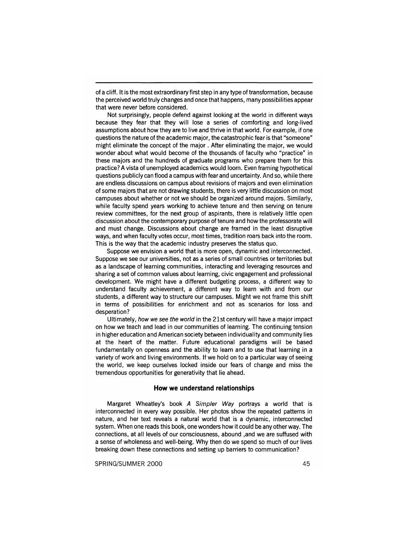of a cliff. It is the most extraordinary first step in any type of transformation, because the perceived world truly changes and once that happens, many possibilities appear that were never before considered.

Not surprisingly, people defend against looking at the world in different ways because they fear that they will lose a series of comforting and long-lived assumptions about how they are to live and thrive in that world. For example, if one questions the nature of the academic major, the catastrophic fear is that "someone" might eliminate the concept of the major. After eliminating the major, we would wonder about what would become of the thousands of faculty who "practice" in these majors and the hundreds of graduate programs who prepare them for this practice? A vista of unemployed academics would loom. Even framing hypothetical questions publicly can flood a campus with fear and uncertainty. And so, while there are endless discussions on campus about revisions of majors and even elimination of some majors that are not drawing students, there is very little discussion on most campuses about whether or not we should be organized around majors. Similarly, while faculty spend years working to achieve tenure and then serving on tenure review committees, for the next group of aspirants, there is relatively little open discussion about the contemporary purpose of tenure and how the professorate will and must change. Discussions about change are framed in the least disruptive ways, and when faculty votes occur, most times, tradition roars back into the room. This is the way that the academic industry preserves the status quo.

Suppose we envision a world that is more open, dynamic and interconnected. Suppose we see our universities, not as a series of small countries or territories but as a landscape of learning communities, interacting and leveraging resources and sharing a set of common values about learning, civic engagement and professional development. We might have a different budgeting process, a different way to understand faculty achievement, a different way to learn with and from our students, a different way to structure our campuses. Might we not frame this shift in terms of possibilities for enrichment and not as scenarios for loss and desperation?

Ultimately, how we see the world in the 21st century will have a major impact on how we teach and lead in our communities of learning. The continuing tension in higher education and American society between individuality and community lies at the heart of the matter. Future educational paradigms will be based fundamentally on openness and the ability to learn and to use that learning in a variety of work and living environments. If we hold on to a particular way of seeing the world, we keep ourselves locked inside our fears of change and miss the tremendous opportunities for generativity that lie ahead.

# **How we understand relationships**

Margaret Wheatley's book A Simpler Way portrays a world that is interconnected in every way possible. Her photos show the repeated patterns in nature, and her text reveals a natural world that is a dynamic, interconnected system. When one reads this book, one wonders how it could be any other way. The connections, at all levels of our consciousness, abound ,and we are suffused with a sense of wholeness and well-being. Why then do we spend so much of our lives breaking down these connections and setting up barriers to communication?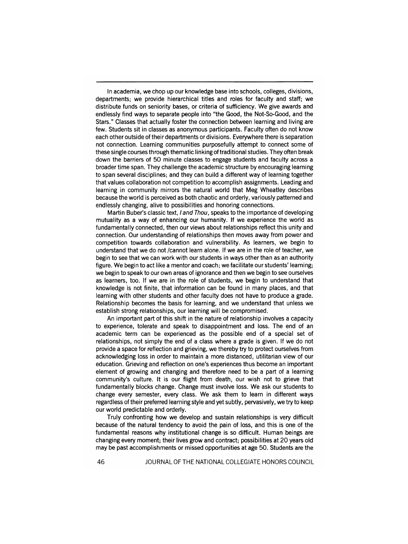In academia, we chop up our knowledge base into schools, colleges, divisions, departments; we provide hierarchical titles and roles for faculty and staff; we distribute funds on seniority bases, or criteria of sufficiency. We give awards and endlessly find ways to separate people into "the Good, the Not-So-Good, and the Stars." Classes that actually foster the connection between learning and living are few. Students sit in classes as anonymous participants. Faculty often do not know each other outside of their departments or divisions. Everywhere there is separation not connection. Learning communities purposefully attempt to connect some of these single courses through thematic linking of traditional studies. They often break down the barriers of 50 minute classes to engage students and faculty across a broader time span. They challenge the academic structure by encouraging learning to span several disciplines; and they can build a different way of learning together that values collaboration not competition to accomplish assignments. Leading and learning in community mirrors the natural world that Meg Wheatley describes because the world is perceived as both chaotic and orderly, variously patterned and endlessly changing, alive to possibilities and honoring connections.

Martin Buber's classic text, I and Thou, speaks to the importance of developing mutuality as a way of enhancing our humanity. If we experience the world as fundamentally connected, then our views about relationships reflect this unity and connection. Our understanding of relationships then moves away from power and competition towards collaboration and vulnerability. As learners, we begin to understand that we do not *Icannot* learn alone. If we are in the role of teacher, we begin to see that we can work with our students in ways other than as an authority figure. We begin to act like a mentor and coach; we facilitate our students' learning; we begin to speak to our own areas of ignorance and then we begin to see ourselves as learners, too. If we are in the role of students, we begin to understand that knowledge is not finite, that information can be found in many places, and that learning with other students and other faculty does not have to produce a grade. Relationship becomes the basis for learning, and we understand that unless we establish strong relationships, our learning will be compromised.

An important part of this shift in the nature of relationship involves a capacity to experience, tolerate and speak to disappointment and loss. The end of an academic term can be experienced as the possible end of a special set of relationships, not simply the end of a class where a grade is given. If we do not provide a space for reflection and grieving, we thereby try to protect ourselves from acknowledging loss in order to maintain a more distanced, utilitarian view of our education. Grieving and reflection on one's experiences thus become an important element of growing and changing and therefore need to be a part of a learning community's culture. It is our flight from death, our wish not to grieve that fundamentally blocks change. Change must involve loss. We ask our students to change every semester, every class. We ask them to learn in different ways regardless of their preferred learning style and yet subtly, pervasively, we try to keep our world predictable and orderly.

Truly confronting how we develop and sustain relationships is very difficult because of the natural tendency to avoid the pain of loss, and this is one of the fundamental reasons why institutional change is so difficult. Human beings are changing every moment; their lives grow and contract; possibilities at 20 years old may be past accomplishments or missed opportunities at age 50. Students are the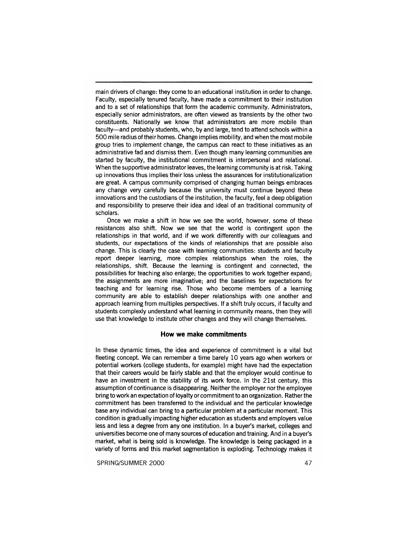main drivers of change: they come to an educational institution in order to change. Faculty, especially tenured faculty, have made a commitment to their institution and to a set of relationships that form the academic community. Administrators, especially senior administrators, are often viewed as transients by the other two constituents. Nationally we know that administrators are more mobile than faculty-and probably students, who, by and large, tend to attend schools within a 500 mile radius of their homes. Change implies mobility, and when the most mobile group tries to implement change, the campus can react to these initiatives as an administrative fad and dismiss them. Even though many learning communities are started by faculty, the institutional commitment is interpersonal and relational. When the supportive administrator leaves, the learning community is at risk. Taking up innovations thus implies their loss unless the assurances for institutionalization are great. A campus community comprised of changing human beings embraces any change very carefully because the university must continue beyond these innovations and the custodians of the institution, the faculty, feel a deep obligation and responsibility to preserve their idea and ideal of an traditional community of scholars.

Once we make a shift in how we see the world, however, some of these resistances also shift. Now we see that the world is contingent upon the relationships in that world, and if we work differently with our colleagues and students, our expectations of the kinds of relationships that are possible also change. This is clearly the case with learning communities: students and faculty report deeper learning, more complex relationships when the roles, the relationships, shift. Because the learning is contingent and connected, the possibilities for teaching also enlarge; the opportunities to work together expand; the assignments are more imaginative; and the baselines for expectations for teaching and for learning rise. Those who become members of a learning community are able to establish deeper relationships with one another and approach learning from multiples perspectives. If a shift truly occurs, if faculty and students complexly understand what learning in community means, then they will use that knowledge to institute other changes and they will change themselves.

### **How we make commitments**

In these dynamic times, the idea and experience of commitment is a vital but fleeting concept. We can remember a time barely 10 years ago when workers or potential workers (college students, for example) might have had the expectation that their careers would be fairly stable and that the employer would continue to have an investment in the stability of its work force. In the 21st century, this assumption of continuance is disappearing. Neither the employer nor the employee bring to work an expectation of loyalty or commitment to an organization. Rather the commitment has been transferred to the individual and the particular knowledge base any individual can bring to a particular problem at a particular moment. This condition is gradually impacting higher educatton as students and employers value less and less a degree from any one institution. In a buyer's market, colleges and universities become one of many sources of education and training. And in a buyer's market, what is being sold is knowledge. The knowledge is being packaged in a variety of forms and this market segmentation is exploding. Technology makes it

SPRING/SUMMER 2000 47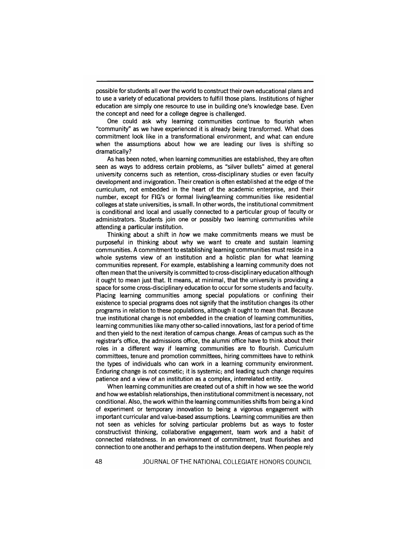possible for students all over the world to construct their own educational plans and to use a variety of educational providers to fulfill those plans. Institutions of higher education are simply one resource to use in building one's knowledge base. Even the concept and need for a college degree is challenged.

One could ask why learning communities continue to flourish when "community" as we have experienced it is already being transformed. What does commitment look like in a transformational environment, and what can endure when the assumptions about how we are leading our lives is shifting so dramatically?

As has been noted, when learning communities are established, they are often seen as ways to address certain problems, as "silver bullets" aimed at general university concerns such as retention, cross-disciplinary studies or even faculty development and invigoration. Their creation is often established at the edge of the curriculum, not embedded in the heart of the academic enterprise, and their number, except for FIG's or formal living/learning communities like residential colleges at state universities, is small. In other words, the institutional commitment is conditional and local and usually connected to a particular group of faculty or administrators. Students join one or possibly two learning communities while attending a particular institution.

Thinking about a shift in how we make commitments means we must be purposeful in thinking about why we want to create and sustain learning communities. A commitment to establishing learning communities must reside in a whole systems view of an institution and a holistic plan for what learning communities represent. For example, establishing a learning community does not often mean that the university is committed to cross-disciplinary education although it ought to mean just that. It means, at minimal, that the university is providing a space for some cross-disciplinary education to occur for some students and faculty. Placing learning communities among special populations or confining their existence to special programs does not signify that the institution changes its other programs in relation to these populations, although it ought to mean that. Because true institutional change is not embedded in the creation of learning communities, learning communities like many other so-called innovations, last for a period of time and then yield to the next iteration of campus change. Areas of campus such as the registrar's office, the admissions office, the alumni office have to think about their roles in a different way if learning communities are to flourish. Curriculum committees, tenure and promotion committees, hiring committees have to rethink the types of individuals who can work in a learning community environment. Enduring change is not cosmetic; it is systemic; and leading such change requires patience and a view of an institution as a complex, interrelated entity.

When learning communities are created out of a shift in how we see the world and how we establish relationships, then institutional commitment is necessary, not conditional. Also, the work within the learning communities shifts from being a kind of experiment or temporary innovation to being a vigorous engagement with important curricular and value-based assumptions. Learning communities are then not seen as vehicles for solving particular problems but as ways to foster constructivist thinking, collaborative engagement, team work and a habit of connected relatedness. In an environment of commitment, trust flourishes and connection to one another and perhaps to the institution deepens. When people rely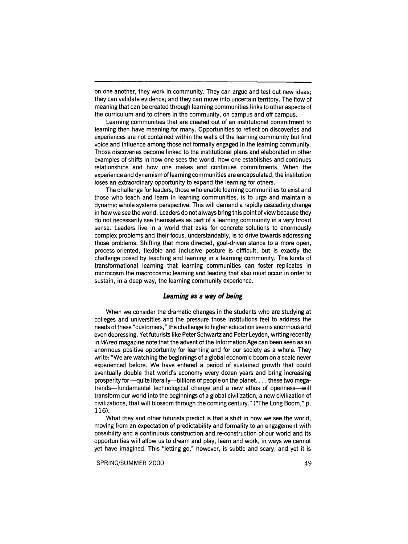on one another, they work in community. They can argue and test out new ideas; they can validate evidence; and they can move into uncertain territory. The flow of meaning that can be created through learning communities links to other aspects of the curriculum and to others in the community, on campus and off campus.

Learning communities that are created out of an institutional commitment to learning then have meaning for many. Opportunities to reflect on discoveries and experiences are not contained within the walls of the learning community but find voice and influence among those not formally engaged in the learning community. Those discoveries become linked to the institutional plans and elaborated in other examples of shifts in how one sees the world, how one establishes and continues relationships and how one makes and continues commitments. When the experience and dynamism of learning communities are encapsulated, the institution loses an extraordinary opportunity to expand the learning for others.

The challenge for leaders, those who enable learning communities to exist and those who teach and learn in learning communities, is to urge and maintain a dynamic whole systems perspective. This will demand a rapidly cascading change in how we see the world. Leaders do not always bring this point of view because they do not necessarily see themselves as part of a learning community in a very broad sense. Leaders live in a world that asks for concrete solutions to enormously complex problems and their focus, understandably, is to drive towards addressing those problems. Shifting that more directed, goal-driven stance to a more open, process-oriented, flexible and inclusive posture is difficult, but is exactly the challenge posed by teaching and learning in a learning community. The kinds of transformational learning that learning communities can foster replicates in microcosm the macrocosmic learning and leading that also must occur in order to sustain, in a deep way, the learning community experience.

## **Learning as a way of being**

When we consider the dramatic changes in the students who are studying at colleges and universities and the pressure those institutions feel to address the needs of these "customers," the challenge to higher education seems enormous and even depressing. Yet futurists like Peter Schwartz and Peter Leyden, writing recently in Wired magazine note that the advent of the Information Age can been seen as an enormous positive opportunity for learning and for our society as a whole. They write: "We are watching the beginnings of a global economic boom on a scale never experienced before. We have entered a period of sustained growth that could eventually double that world's economy every dozen years and bring increasing prosperity for -- quite literally--billions of people on the planet. . . . these two megatrends-fundamental technological change and a new ethos of openness-will transform our world into the beginnings of a global civilization, a new civilization of civilizations, that will blossom through the coming century." ("The Long Boom," p. 116).

What they and other futurists predict is that a shift in how we see the world, moving from an expectation of predictability and formality to an engagement with possibility and a continuous construction and re-construction of our world and its opportunities will allow us to dream and play, learn and work, in ways we cannot yet have imagined. This "letting go," however, is subtle and scary, and yet it is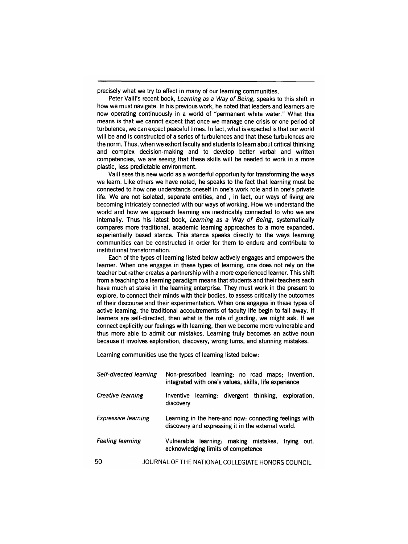precisely what we try to effect in many of our learning communities.

Peter Vaill's recent book, Learning as a Way of Being, speaks to this shift in how we must navigate. In his previous work, he noted that leaders and learners are now operating continuously in a world of "permanent white water." What this means is that we cannot expect that once we manage one crisis or one period of turbulence, we can expect peaceful times. In fact, what is expected is that our world will be and is constructed of a series of turbulences and that these turbulences are the norm. Thus, when we exhort faculty and students to learn about critical thinking and complex decision-making and to develop better verbal and written competencies, we are seeing that these skills will be needed to work in a more plastic, less predictable environment.

Vaill sees this new world as a wonderful opportunity for transforming the ways we learn. Like others we have noted, he speaks to the fact that learning must be connected to how one understands oneself in one's work role and in one's private life. We are not isolated, separate entities, and, in fact, our ways of living are becoming intricately connected with our ways of working. How we understand the world and how we approach learning are inextricably connected to who we are internally. Thus his latest book, Learning as a Way of Being, systematically compares more traditional, academic learning approaches to a more expanded, experientially based stance. This stance speaks directly to the ways learning communities can be constructed in order for them to endure and contribute to institutional transformation.

Each of the types of learning listed below actively engages and empowers the learner. When one engages in these types of learning, one does not rely on the teacher but rather creates a partnership with a more experienced learner. This shift from a teaching to a learning paradigm means that students and their teachers each have much at stake in the learning enterprise. They must work in the present to explore, to connect their minds with their bodies, to assess critically the outcomes of their discourse and their experimentation. When one engages in these types of active learning, the traditional accoutrements of faculty life begin to fall away. If learners are self-directed, then what is the role of grading, we might ask. If we connect explicitly our feelings with learning, then we become more vulnerable and thus more able to admit our mistakes. Learning truly becomes an active noun because it involves exploration, discovery, wrong turns, and stunning mistakes.

Learning communities use the types of learning listed below:

| Self-directed learning     | Non-prescribed learning: no road maps; invention,<br>integrated with one's values, skills, life experience   |
|----------------------------|--------------------------------------------------------------------------------------------------------------|
| Creative learning          | learning: divergent thinking, exploration,<br>Inventive<br>discovery                                         |
| <b>Expressive learning</b> | Learning in the here-and now: connecting feelings with<br>discovery and expressing it in the external world. |
| <b>Feeling learning</b>    | Vulnerable learning: making mistakes,<br>trving<br>out.<br>acknowledging limits of competence                |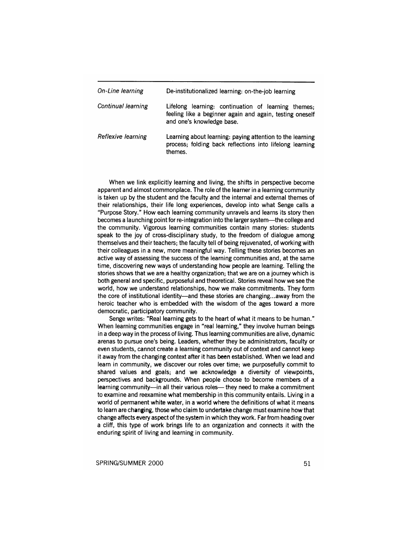| On-Line learning   | De-institutionalized learning: on-the-job learning                                                                                           |
|--------------------|----------------------------------------------------------------------------------------------------------------------------------------------|
| Continual learning | Lifelong learning: continuation of learning themes;<br>feeling like a beginner again and again, testing oneself<br>and one's knowledge base. |
| Reflexive learning | Learning about learning: paying attention to the learning<br>process; folding back reflections into lifelong learning<br>themes.             |

When we link explicitly learning and living, the shifts in perspective become apparent and almost commonplace. The role of the learner in a learning community is taken up by the student and the faculty and the internal and external themes of their relationships, their life long experiences, develop into what Senge calls a "Purpose Story." How each learning community unravels and learns its story then becomes a launching point for re-integration into the larger system-the college and the community. Vigorous learning communities contain many stories: students speak to the joy of cross-disciplinary study, to the freedom of dialogue among themselves and their teachers; the faculty tell of being rejuvenated, of working with their colleagues in a new, more meaningful way. Telling these stories becomes an active way of assessing the success of the learning communities and, at the same time, discovering new ways of understanding how people are learning. Telling the stories shows that we are a healthy organization; that we are on a journey which is both general and specific, purposeful and theoretical. Stories reveal how we see the world, how we understand relationships, how we make commitments. They form the core of institutional identity-and these stories are changing... away from the heroic teacher who is embedded with the wisdom of the ages toward a more democratic, participatory community.

Senge writes: "Real learning gets to the heart of what it means to be human." When learning communities engage in "real learning," they involve human beings in a deep way in the process of living. Thus learning communities are alive, dynamic arenas to pursue one's being. Leaders, whether they be administrators, faculty or even students, cannot create a learning community out of context and cannot keep it away from the changing context after it has been established. When we lead and learn in community, we discover our roles over time; we purposefully commit to shared values and goals; and we acknowledge a diversity of viewpoints, perspectives and backgrounds. When people choose to become members of a learning community-in all their various roles- they need to make a commitment to examine and reexamine what membership in this community entails. Living in a world of permanent white water, in a world where the definitions of what it means to learn are changing, those who claim to undertake change must examine how that change affects every aspect of the system in which they work. Far from heading over a cliff, this type of work brings life to an organization and connects it with the enduring spirit of living and learning in community.